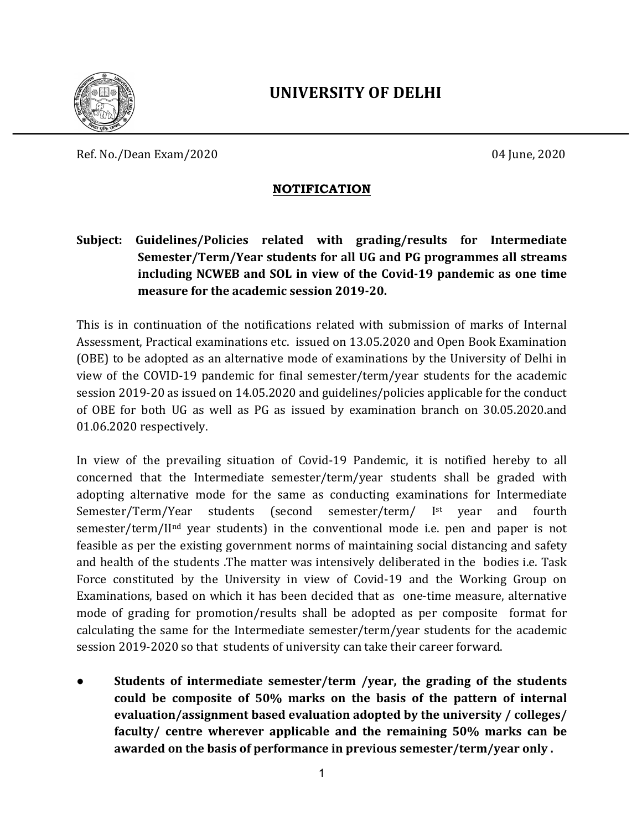

## **UNIVERSITY OF DELHI**

Ref. No./Dean Exam/2020 04 June, 2020

## **NOTIFICATION**

**Subject:** Guidelines/Policies related with grading/results for Intermediate Semester/Term/Year students for all UG and PG programmes all streams including NCWEB and SOL in view of the Covid-19 pandemic as one time **measure for the academic session 2019-20.** 

This is in continuation of the notifications related with submission of marks of Internal Assessment, Practical examinations etc. issued on 13.05.2020 and Open Book Examination (OBE) to be adopted as an alternative mode of examinations by the University of Delhi in view of the COVID-19 pandemic for final semester/term/year students for the academic session 2019-20 as issued on 14.05.2020 and guidelines/policies applicable for the conduct of OBE for both UG as well as PG as issued by examination branch on 30.05.2020.and 01.06.2020 respectively.

In view of the prevailing situation of Covid-19 Pandemic, it is notified hereby to all concerned that the Intermediate semester/term/year students shall be graded with adopting alternative mode for the same as conducting examinations for Intermediate Semester/Term/Year students (second semester/term/ I<sup>st</sup> year and fourth semester/term/II<sup>nd</sup> year students) in the conventional mode i.e. pen and paper is not feasible as per the existing government norms of maintaining social distancing and safety and health of the students .The matter was intensively deliberated in the bodies i.e. Task Force constituted by the University in view of Covid-19 and the Working Group on Examinations, based on which it has been decided that as one-time measure, alternative mode of grading for promotion/results shall be adopted as per composite format for calculating the same for the Intermediate semester/term/year students for the academic session 2019-2020 so that students of university can take their career forward.

**Students of intermediate semester/term /year, the grading of the students** could be composite of 50% marks on the basis of the pattern of internal evaluation/assignment based evaluation adopted by the university / colleges/ faculty/ centre wherever applicable and the remaining 50% marks can be awarded on the basis of performance in previous semester/term/year only.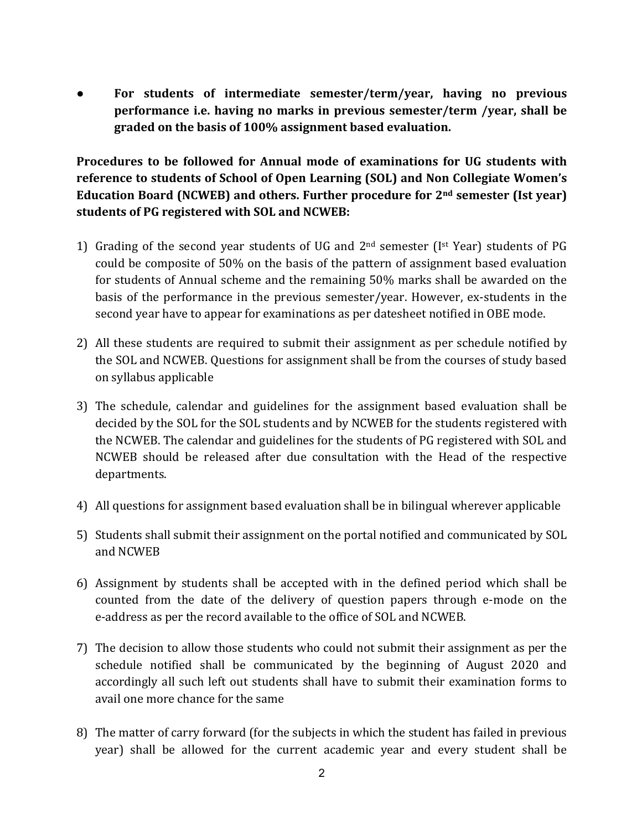• For students of intermediate semester/term/year, having no previous **performance i.e. having no marks in previous semester/term /year, shall be** graded on the basis of 100% assignment based evaluation.

## **Procedures to be followed for Annual mode of examinations for UG students with** reference to students of School of Open Learning (SOL) and Non Collegiate Women's **Education Board (NCWEB) and others. Further procedure for 2<sup>nd</sup> semester (Ist year)** students of PG registered with SOL and NCWEB:

- 1) Grading of the second year students of UG and  $2<sup>nd</sup>$  semester (I<sup>st</sup> Year) students of PG could be composite of 50% on the basis of the pattern of assignment based evaluation for students of Annual scheme and the remaining 50% marks shall be awarded on the basis of the performance in the previous semester/year. However, ex-students in the second year have to appear for examinations as per datesheet notified in OBE mode.
- 2) All these students are required to submit their assignment as per schedule notified by the SOL and NCWEB. Questions for assignment shall be from the courses of study based on syllabus applicable
- 3) The schedule, calendar and guidelines for the assignment based evaluation shall be decided by the SOL for the SOL students and by NCWEB for the students registered with the NCWEB. The calendar and guidelines for the students of PG registered with SOL and NCWEB should be released after due consultation with the Head of the respective departments.
- 4) All questions for assignment based evaluation shall be in bilingual wherever applicable
- 5) Students shall submit their assignment on the portal notified and communicated by SOL and NCWEB
- 6) Assignment by students shall be accepted with in the defined period which shall be counted from the date of the delivery of question papers through e-mode on the e-address as per the record available to the office of SOL and NCWEB.
- 7) The decision to allow those students who could not submit their assignment as per the schedule notified shall be communicated by the beginning of August 2020 and accordingly all such left out students shall have to submit their examination forms to avail one more chance for the same
- 8) The matter of carry forward (for the subjects in which the student has failed in previous year) shall be allowed for the current academic year and every student shall be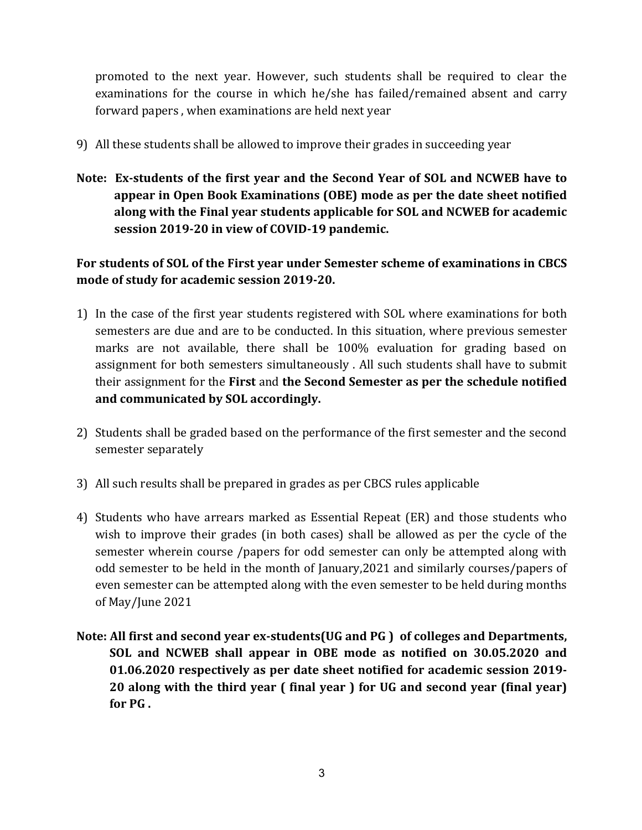promoted to the next year. However, such students shall be required to clear the examinations for the course in which he/she has failed/remained absent and carry forward papers, when examinations are held next year

- 9) All these students shall be allowed to improve their grades in succeeding year
- Note: Ex-students of the first year and the Second Year of SOL and NCWEB have to appear in Open Book Examinations (OBE) mode as per the date sheet notified along with the Final year students applicable for SOL and NCWEB for academic session 2019-20 in view of COVID-19 pandemic.

## For students of SOL of the First year under Semester scheme of examinations in CBCS mode of study for academic session 2019-20.

- 1) In the case of the first year students registered with SOL where examinations for both semesters are due and are to be conducted. In this situation, where previous semester marks are not available, there shall be 100% evaluation for grading based on assignment for both semesters simultaneously . All such students shall have to submit their assignment for the **First** and **the Second Semester as per the schedule notified** and communicated by SOL accordingly.
- 2) Students shall be graded based on the performance of the first semester and the second semester separately
- 3) All such results shall be prepared in grades as per CBCS rules applicable
- 4) Students who have arrears marked as Essential Repeat (ER) and those students who wish to improve their grades (in both cases) shall be allowed as per the cycle of the semester wherein course /papers for odd semester can only be attempted along with odd semester to be held in the month of January,2021 and similarly courses/papers of even semester can be attempted along with the even semester to be held during months of May/June 2021
- Note: All first and second year ex-students(UG and PG) of colleges and Departments, **SOL** and **NCWEB** shall appear in OBE mode as notified on 30.05.2020 and **01.06.2020 respectively as per date sheet notified for academic session 2019- 20** along with the third year ( final year ) for UG and second year (final year) for PG.